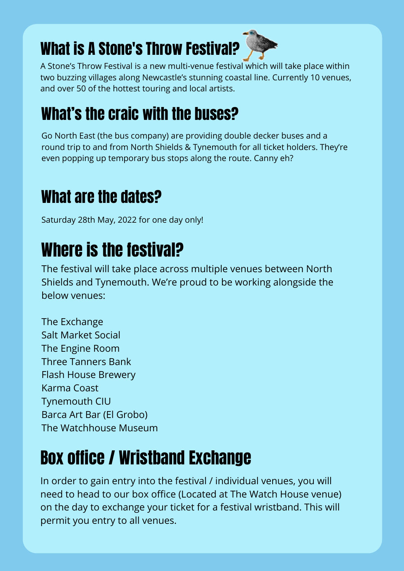### What is A Stone's Throw Festival?



A Stone's Throw Festival is a new multi-venue festival which will take place within two buzzing villages along Newcastle's stunning coastal line. Currently 10 venues, and over 50 of the hottest touring and local artists.

#### What's the craic with the buses?

Go North East (the bus company) are providing double decker buses and a round trip to and from North Shields & Tynemouth for all ticket holders. They're even popping up temporary bus stops along the route. Canny eh?

#### What are the dates?

Saturday 28th May, 2022 for one day only!

### Where is the festival?

The festival will take place across multiple venues between North Shields and Tynemouth. We're proud to be working alongside the below venues:

The Exchange Salt Market Social The Engine Room Three Tanners Bank Flash House Brewery Karma Coast Tynemouth CIU Barca Art Bar (El Grobo) The Watchhouse Museum

#### Box office / Wristband Exchange

In order to gain entry into the festival / individual venues, you will need to head to our box office (Located at The Watch House venue) on the day to exchange your ticket for a festival wristband. This will permit you entry to all venues.